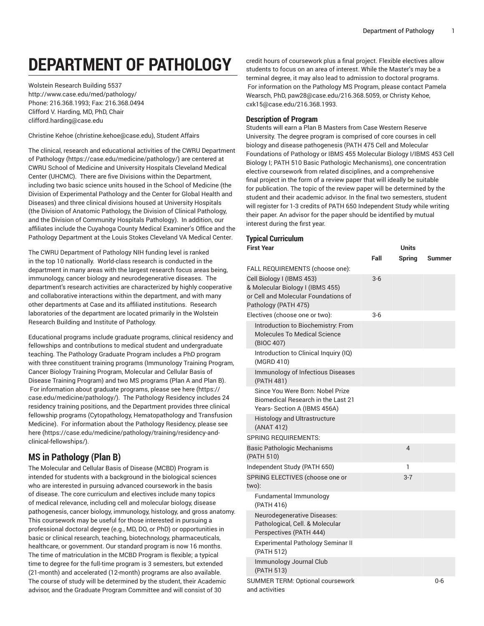# **DEPARTMENT OF PATHOLOGY**

Wolstein Research Building 5537 <http://www.case.edu/med/pathology/> Phone: 216.368.1993; Fax: 216.368.0494 Clifford V. Harding, MD, PhD, Chair [clifford.harding@case.edu](mailto:clifford.harding@case.edu)

[Christine](mailto:christine.kehoe@case.edu) Kehoe [\(christine.kehoe@case.edu\)](christine.kehoe@case.edu), Student Affairs

The clinical, research and educational activities of the CWRU [Department](https://case.edu/medicine/pathology/) of [Pathology \(https://case.edu/medicine/pathology/\)](https://case.edu/medicine/pathology/) are centered at CWRU School of Medicine and University Hospitals Cleveland Medical Center (UHCMC). There are five Divisions within the Department, including two basic science units housed in the School of Medicine (the Division of Experimental Pathology and the Center for Global Health and Diseases) and three clinical divisions housed at University Hospitals (the Division of Anatomic Pathology, the Division of Clinical Pathology, and the Division of Community Hospitals Pathology). In addition, our affiliates include the Cuyahoga County Medical Examiner's Office and the Pathology Department at the Louis Stokes Cleveland VA Medical Center.

The CWRU Department of Pathology NIH funding level is ranked in the top 10 nationally. World-class research is conducted in the department in many areas with the largest research focus areas being, immunology, cancer biology and neurodegenerative diseases. The department's research activities are characterized by highly cooperative and collaborative interactions within the department, and with many other departments at Case and its affiliated institutions. Research laboratories of the department are located primarily in the Wolstein Research Building and Institute of Pathology.

Educational programs include graduate programs, clinical residency and fellowships and contributions to medical student and undergraduate teaching. The Pathology Graduate Program includes a PhD program with three constituent training programs (Immunology Training Program, Cancer Biology Training Program, Molecular and Cellular Basis of Disease Training Program) and two MS programs (Plan A and Plan B). For information about graduate programs, please see [here](https://case.edu/medicine/pathology/) [\(https://](https://case.edu/medicine/pathology/) [case.edu/medicine/pathology/](https://case.edu/medicine/pathology/)). The Pathology Residency includes 24 residency training positions, and the Department provides three clinical fellowship programs (Cytopathology, Hematopathology and Transfusion Medicine). For information about the Pathology Residency, please see [here \(https://case.edu/medicine/pathology/training/residency-and](https://case.edu/medicine/pathology/training/residency-and-clinical-fellowships/)[clinical-fellowships/\)](https://case.edu/medicine/pathology/training/residency-and-clinical-fellowships/).

# **MS in Pathology (Plan B)**

The Molecular and Cellular Basis of Disease (MCBD) Program is intended for students with a background in the biological sciences who are interested in pursuing advanced coursework in the basis of disease. The core curriculum and electives include many topics of medical relevance, including cell and molecular biology, disease pathogenesis, cancer biology, immunology, histology, and gross anatomy. This coursework may be useful for those interested in pursuing a professional doctoral degree (e.g., MD, DO, or PhD) or opportunities in basic or clinical research, teaching, biotechnology, pharmaceuticals, healthcare, or government. Our standard program is now 16 months. The time of matriculation in the MCBD Program is flexible; a typical time to degree for the full-time program is 3 semesters, but extended (21-month) and accelerated (12-month) programs are also available. The course of study will be determined by the student, their Academic advisor, and the Graduate Program Committee and will consist of 30

credit hours of coursework plus a final project. Flexible electives allow students to focus on an area of interest. While the Master's may be a terminal degree, it may also lead to admission to doctoral programs. For information on the Pathology MS Program, please contact Pamela Wearsch, PhD, [paw28@case.edu/](mailto:paw28@case.edu)216.368.5059, or Christy Kehoe, [cxk15@case.edu](mailto:cxk15@case.edu)/216.368.1993.

# **Description of Program**

Students will earn a Plan B Masters from Case Western Reserve University. The degree program is comprised of core courses in cell biology and disease pathogenesis (PATH 475 Cell and Molecular Foundations of Pathology or IBMS 455 Molecular Biology I/IBMS 453 Cell Biology I; PATH 510 Basic Pathologic Mechanisms), one concentration elective coursework from related disciplines, and a comprehensive final project in the form of a review paper that will ideally be suitable for publication. The topic of the review paper will be determined by the student and their academic advisor. In the final two semesters, student will register for 1-3 credits of PATH 650 Independent Study while writing their paper. An advisor for the paper should be identified by mutual interest during the first year.

# **Typical Curriculum**

| <b>First Year</b>                                                                                                             |       | <b>Units</b>   |        |
|-------------------------------------------------------------------------------------------------------------------------------|-------|----------------|--------|
|                                                                                                                               | Fall  | <b>Spring</b>  | Summer |
| FALL REQUIREMENTS (choose one):                                                                                               |       |                |        |
| Cell Biology I (IBMS 453)<br>& Molecular Biology I (IBMS 455)<br>or Cell and Molecular Foundations of<br>Pathology (PATH 475) | $3-6$ |                |        |
| Electives (choose one or two):                                                                                                | 3-6   |                |        |
| Introduction to Biochemistry: From<br><b>Molecules To Medical Science</b><br>(BIOC 407)                                       |       |                |        |
| Introduction to Clinical Inquiry (IQ)<br>(MGRD 410)                                                                           |       |                |        |
| <b>Immunology of Infectious Diseases</b><br>(PATH 481)                                                                        |       |                |        |
| Since You Were Born: Nobel Prize<br>Biomedical Research in the Last 21<br>Years-Section A (IBMS 456A)                         |       |                |        |
| <b>Histology and Ultrastructure</b><br>(ANAT 412)                                                                             |       |                |        |
| <b>SPRING REQUIREMENTS:</b>                                                                                                   |       |                |        |
| <b>Basic Pathologic Mechanisms</b><br>(PATH 510)                                                                              |       | $\overline{4}$ |        |
| Independent Study (PATH 650)                                                                                                  |       | 1              |        |
| SPRING ELECTIVES (choose one or<br>two):                                                                                      |       | $3 - 7$        |        |
| Fundamental Immunology<br>(PATH 416)                                                                                          |       |                |        |
| Neurodegenerative Diseases:<br>Pathological, Cell. & Molecular<br>Perspectives (PATH 444)                                     |       |                |        |
| Experimental Pathology Seminar II<br>(PATH 512)                                                                               |       |                |        |
| Immunology Journal Club<br>(PATH 513)                                                                                         |       |                |        |
| SUMMER TERM: Optional coursework<br>and activities                                                                            |       |                | 0-6    |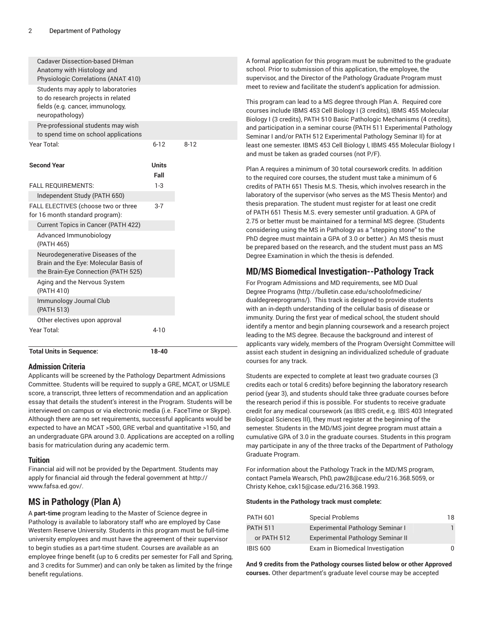| <b>Total Units in Sequence:</b>                                                                                                 | 18-40                |        |  |
|---------------------------------------------------------------------------------------------------------------------------------|----------------------|--------|--|
| Year Total:                                                                                                                     | $4 - 10$             |        |  |
| Other electives upon approval                                                                                                   |                      |        |  |
| Immunology Journal Club<br>(PATH 513)                                                                                           |                      |        |  |
| Aging and the Nervous System<br>(PATH 410)                                                                                      |                      |        |  |
| Neurodegenerative Diseases of the<br>Brain and the Eye: Molecular Basis of<br>the Brain-Eye Connection (PATH 525)               |                      |        |  |
| Advanced Immunobiology<br>(PATH 465)                                                                                            |                      |        |  |
| Current Topics in Cancer (PATH 422)                                                                                             |                      |        |  |
| Independent Study (PATH 650)<br>FALL ELECTIVES (choose two or three<br>for 16 month standard program):                          | $3 - 7$              |        |  |
| <b>FALL REQUIREMENTS:</b>                                                                                                       | $1-3$                |        |  |
| <b>Second Year</b>                                                                                                              | <b>Units</b><br>Fall |        |  |
| Year Total:                                                                                                                     | $6 - 12$             | $8-12$ |  |
| Pre-professional students may wish<br>to spend time on school applications                                                      |                      |        |  |
| Students may apply to laboratories<br>to do research projects in related<br>fields (e.g. cancer, immunology,<br>neuropathology) |                      |        |  |
| <b>Cadaver Dissection-based DHman</b><br>Anatomy with Histology and<br>Physiologic Correlations (ANAT 410)                      |                      |        |  |

# **Admission Criteria**

Applicants will be screened by the Pathology Department Admissions Committee. Students will be required to supply a GRE, MCAT, or USMLE score, a transcript, three letters of recommendation and an application essay that details the student's interest in the Program. Students will be interviewed on campus or via electronic media (i.e. FaceTime or Skype). Although there are no set requirements, successful applicants would be expected to have an MCAT >500, GRE verbal and quantitative >150, and an undergraduate GPA around 3.0. Applications are accepted on a rolling basis for matriculation during any academic term.

#### **Tuition**

Financial aid will not be provided by the Department. Students may apply for financial aid through the federal government at [http://](http://www.fafsa.ed.gov/) [www.fafsa.ed.gov/.](http://www.fafsa.ed.gov/)

# **MS in Pathology (Plan A)**

A **part-time** program leading to the Master of Science degree in Pathology is available to laboratory staff who are employed by Case Western Reserve University. Students in this program must be full-time university employees and must have the agreement of their supervisor to begin studies as a part-time student. Courses are available as an employee fringe benefit (up to 6 credits per semester for Fall and Spring, and 3 credits for Summer) and can only be taken as limited by the fringe benefit regulations.

A formal application for this program must be submitted to the graduate school. Prior to submission of this application, the employee, the supervisor, and the Director of the Pathology Graduate Program must meet to review and facilitate the student's application for admission.

This program can lead to a MS degree through Plan A. Required core courses include IBMS 453 Cell Biology I (3 credits), IBMS 455 Molecular Biology I (3 credits), PATH 510 Basic Pathologic Mechanisms (4 credits), and participation in a seminar course (PATH 511 Experimental Pathology Seminar I and/or PATH 512 Experimental Pathology Seminar II) for at least one semester. IBMS 453 Cell Biology I, IBMS 455 Molecular Biology I and must be taken as graded courses (not P/F).

Plan A requires a minimum of 30 total coursework credits. In addition to the required core courses, the student must take a minimum of 6 credits of PATH 651 Thesis M.S. Thesis, which involves research in the laboratory of the supervisor (who serves as the MS Thesis Mentor) and thesis preparation. The student must register for at least one credit of PATH 651 Thesis M.S. every semester until graduation. A GPA of 2.75 or better must be maintained for a terminal MS degree. (Students considering using the MS in Pathology as a "stepping stone" to the PhD degree must maintain a GPA of 3.0 or better.) An MS thesis must be prepared based on the research, and the student must pass an MS Degree Examination in which the thesis is defended.

# **MD/MS Biomedical Investigation--Pathology Track**

For Program Admissions and MD requirements, see [MD Dual](http://bulletin.case.edu/schoolofmedicine/dualdegreeprograms/) Degree [Programs \(http://bulletin.case.edu/schoolofmedicine/](http://bulletin.case.edu/schoolofmedicine/dualdegreeprograms/) [dualdegreeprograms/](http://bulletin.case.edu/schoolofmedicine/dualdegreeprograms/)). This track is designed to provide students with an in-depth understanding of the cellular basis of disease or immunity. During the first year of medical school, the student should identify a mentor and begin planning coursework and a research project leading to the MS degree. Because the background and interest of applicants vary widely, members of the Program Oversight Committee will assist each student in designing an individualized schedule of graduate courses for any track.

Students are expected to complete at least two graduate courses (3 credits each or total 6 credits) before beginning the laboratory research period (year 3), and students should take three graduate courses before the research period if this is possible. For students to receive graduate credit for any medical coursework (as IBIS credit, e.g. IBIS 403 Integrated Biological Sciences III), they must register at the beginning of the semester. Students in the MD/MS joint degree program must attain a cumulative GPA of 3.0 in the graduate courses. Students in this program may participate in any of the three tracks of the Department of Pathology Graduate Program.

For information about the Pathology Track in the MD/MS program, contact Pamela Wearsch, PhD, [paw28@case.edu](mailto:paw28@case.edu)/216.368.5059, or Christy Kehoe, [cxk15@case.edu/](mailto:cxk15@case.edu)216.368.1993.

#### **Students in the Pathology track must complete:**

| <b>PATH 601</b> | <b>Special Problems</b>           | 18 |
|-----------------|-----------------------------------|----|
| <b>PATH 511</b> | Experimental Pathology Seminar I  |    |
| or PATH 512     | Experimental Pathology Seminar II |    |
| <b>IBIS 600</b> | Exam in Biomedical Investigation  | n  |

**And 9 credits from the Pathology courses listed below or other Approved courses.** Other department's graduate level course may be accepted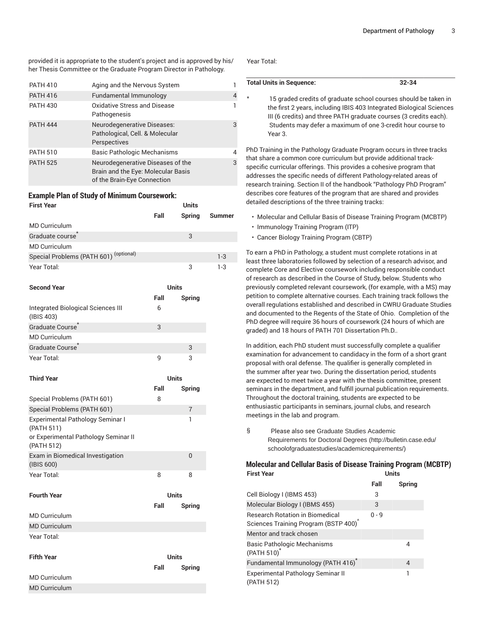provided it is appropriate to the student's project and is approved by his/ her Thesis Committee or the Graduate Program Director in Pathology.

| <b>PATH 410</b> | Aging and the Nervous System                                                                           |   |
|-----------------|--------------------------------------------------------------------------------------------------------|---|
| <b>PATH 416</b> | Fundamental Immunology                                                                                 | 4 |
| <b>PATH 430</b> | Oxidative Stress and Disease<br>Pathogenesis                                                           |   |
| <b>PATH 444</b> | Neurodegenerative Diseases:<br>Pathological, Cell. & Molecular<br>Perspectives                         | 3 |
| <b>PATH 510</b> | Basic Pathologic Mechanisms                                                                            | 4 |
| <b>PATH 525</b> | Neurodegenerative Diseases of the<br>Brain and the Eye: Molecular Basis<br>of the Brain-Eye Connection | 3 |

# **Example Plan of Study of Minimum Coursework:**

| <b>First Year</b>                      | <b>Units</b> |        |               |
|----------------------------------------|--------------|--------|---------------|
|                                        | Fall         | Spring | <b>Summer</b> |
| <b>MD Curriculum</b>                   |              |        |               |
| Graduate course                        |              | 3      |               |
| <b>MD Curriculum</b>                   |              |        |               |
| Special Problems (PATH 601) (optional) |              |        | $1-3$         |
| Year Total:                            |              | 3      | 1-3           |

| <b>Second Year</b>                                                                                   |      | <b>Units</b>   |
|------------------------------------------------------------------------------------------------------|------|----------------|
|                                                                                                      | Fall | Spring         |
| Integrated Biological Sciences III<br>(IBIS 403)                                                     | 6    |                |
| Graduate Course                                                                                      | 3    |                |
| <b>MD Curriculum</b>                                                                                 |      |                |
| <b>Graduate Course</b>                                                                               |      | 3              |
| Year Total:                                                                                          | 9    | 3              |
| <b>Third Year</b>                                                                                    |      | <b>Units</b>   |
|                                                                                                      | Fall | Spring         |
| Special Problems (PATH 601)                                                                          | 8    |                |
| Special Problems (PATH 601)                                                                          |      | $\overline{7}$ |
| Experimental Pathology Seminar I<br>(PATH 511)<br>or Experimental Pathology Seminar II<br>(PATH 512) |      | 1              |
| Exam in Biomedical Investigation<br>(IBIS 600)                                                       |      | $\overline{0}$ |
| Year Total:                                                                                          | 8    | 8              |

| <b>Fourth Year</b>   | <b>Units</b> |              |
|----------------------|--------------|--------------|
|                      | Fall         | Spring       |
| <b>MD Curriculum</b> |              |              |
| <b>MD</b> Curriculum |              |              |
| Year Total:          |              |              |
| <b>Fifth Year</b>    |              | <b>Units</b> |
|                      | Fall         | Sprina       |

MD Curriculum MD Curriculum

#### Year Total:

# **Total Units in Sequence: 32-34**

\* 15 graded credits of graduate school courses should be taken in the first 2 years, including IBIS 403 Integrated Biological Sciences III (6 credits) and three PATH graduate courses (3 credits each). Students may defer a maximum of one 3-credit hour course to Year 3.

PhD Training in the Pathology Graduate Program occurs in three tracks that share a common core curriculum but provide additional trackspecific curricular offerings. This provides a cohesive program that addresses the specific needs of different Pathology-related areas of research training. Section II of the handbook "Pathology PhD Program" describes core features of the program that are shared and provides detailed descriptions of the three training tracks:

- Molecular and Cellular Basis of Disease Training Program (MCBTP)
- Immunology Training Program (ITP)
- Cancer Biology Training Program (CBTP)

To earn a PhD in Pathology, a student must complete rotations in at least three laboratories followed by selection of a research advisor, and complete Core and Elective coursework including responsible conduct of research as described in the Course of Study, below. Students who previously completed relevant coursework, (for example, with a MS) may petition to complete alternative courses. Each training track follows the overall regulations established and described in CWRU Graduate Studies and documented to the Regents of the State of Ohio. Completion of the PhD degree will require 36 hours of coursework (24 hours of which are graded) and 18 hours of PATH 701 Dissertation Ph.D..

In addition, each PhD student must successfully complete a qualifier examination for advancement to candidacy in the form of a short grant proposal with oral defense. The qualifier is generally completed in the summer after year two. During the dissertation period, students are expected to meet twice a year with the thesis committee, present seminars in the department, and fulfill journal publication requirements. Throughout the doctoral training, students are expected to be enthusiastic participants in seminars, journal clubs, and research meetings in the lab and program.

§ Please also see [Graduate Studies Academic](http://bulletin.case.edu/schoolofgraduatestudies/academicrequirements/) [Requirements for Doctoral Degrees](http://bulletin.case.edu/schoolofgraduatestudies/academicrequirements/) ([http://bulletin.case.edu/](http://bulletin.case.edu/schoolofgraduatestudies/academicrequirements/) [schoolofgraduatestudies/academicrequirements/\)](http://bulletin.case.edu/schoolofgraduatestudies/academicrequirements/)

#### **Molecular and Cellular Basis of Disease Training Program (MCBTP) First Year Units**

|                                                                                | Fall    | Spring |
|--------------------------------------------------------------------------------|---------|--------|
| Cell Biology I (IBMS 453)                                                      | 3       |        |
| Molecular Biology I (IBMS 455)                                                 | 3       |        |
| <b>Research Rotation in Biomedical</b><br>Sciences Training Program (BSTP 400) | $0 - 9$ |        |
| Mentor and track chosen                                                        |         |        |
| Basic Pathologic Mechanisms<br>(PATH 510) <sup>*</sup>                         |         | 4      |
| Fundamental Immunology (PATH 416) <sup>*</sup>                                 |         | 4      |
| Experimental Pathology Seminar II<br>(PATH 512)                                |         | 1      |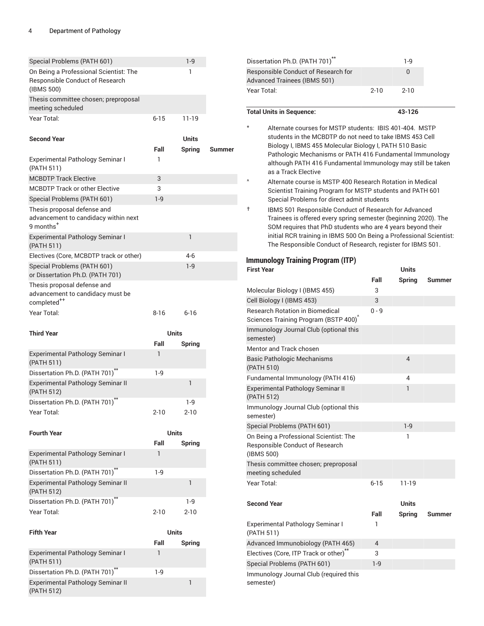| Special Problems (PATH 601)                                                                  |          | $1-9$                  |        |
|----------------------------------------------------------------------------------------------|----------|------------------------|--------|
| On Being a Professional Scientist: The<br>Responsible Conduct of Research<br>(IBMS 500)      |          | 1                      |        |
| Thesis committee chosen; preproposal<br>meeting scheduled                                    |          |                        |        |
| Year Total:                                                                                  | $6 - 15$ | 11-19                  |        |
| <b>Second Year</b>                                                                           | Fall     | Units<br><b>Spring</b> | Summer |
| <b>Experimental Pathology Seminar I</b><br>(PATH 511)                                        | 1        |                        |        |
| <b>MCBDTP Track Elective</b>                                                                 | 3        |                        |        |
| <b>MCBDTP Track or other Elective</b>                                                        | 3        |                        |        |
| Special Problems (PATH 601)                                                                  | $1 - 9$  |                        |        |
| Thesis proposal defense and<br>advancement to candidacy within next<br>9 months <sup>+</sup> |          |                        |        |
| Experimental Pathology Seminar I<br>(PATH 511)                                               |          | 1                      |        |
| Electives (Core, MCBDTP track or other)                                                      |          | 4-6                    |        |
| Special Problems (PATH 601)<br>or Dissertation Ph.D. (PATH 701)                              |          | $1 - 9$                |        |
| Thesis proposal defense and<br>advancement to candidacy must be<br>completed <sup>++</sup>   |          |                        |        |
| Year Total:                                                                                  | $8 - 16$ | $6 - 16$               |        |
|                                                                                              |          |                        |        |
|                                                                                              |          |                        |        |
| <b>Third Year</b>                                                                            |          | <b>Units</b>           |        |
|                                                                                              | Fall     | Spring                 |        |
| Experimental Pathology Seminar I<br>(PATH 511)                                               | 1        |                        |        |
| Dissertation Ph.D. (PATH 701) <sup>**</sup>                                                  | $1-9$    |                        |        |
| Experimental Pathology Seminar II<br>(PATH 512)                                              |          | 1                      |        |
| Dissertation Ph.D. (PATH 701)                                                                |          | 1-9                    |        |
| Year Total:                                                                                  | $2 - 10$ | $2 - 10$               |        |
|                                                                                              |          |                        |        |
| <b>Fourth Year</b>                                                                           | Fall     | <b>Units</b>           |        |
| Experimental Pathology Seminar I<br>(PATH 511)                                               | 1        | Spring                 |        |
| Dissertation Ph.D. (PATH 701) <sup>**</sup>                                                  | $1-9$    |                        |        |
| Experimental Pathology Seminar II<br>(PATH 512)                                              |          | 1                      |        |
| Dissertation Ph.D. (PATH 701) <sup>**</sup>                                                  |          | $1-9$                  |        |
| Year Total:                                                                                  | $2 - 10$ | $2 - 10$               |        |
| <b>Fifth Year</b>                                                                            |          | <b>Units</b>           |        |
|                                                                                              | Fall     | Spring                 |        |
| Experimental Pathology Seminar I<br>(PATH 511)                                               | 1        |                        |        |
| Dissertation Ph.D. (PATH 701) <sup>**</sup><br>Experimental Pathology Seminar II             | $1-9$    | 1                      |        |

| Dissertation Ph.D. (PATH 701) <sup>**</sup>                                                                                                                                                                                                                                                                                                 |          | $1-9$                  |               |
|---------------------------------------------------------------------------------------------------------------------------------------------------------------------------------------------------------------------------------------------------------------------------------------------------------------------------------------------|----------|------------------------|---------------|
| Responsible Conduct of Research for<br>Advanced Trainees (IBMS 501)                                                                                                                                                                                                                                                                         |          | 0                      |               |
| Year Total:                                                                                                                                                                                                                                                                                                                                 | $2 - 10$ | $2 - 10$               |               |
| <b>Total Units in Sequence:</b>                                                                                                                                                                                                                                                                                                             |          | 43-126                 |               |
| $\star$<br>Alternate courses for MSTP students: IBIS 401-404. MSTP<br>students in the MCBDTP do not need to take IBMS 453 Cell<br>Biology I, IBMS 455 Molecular Biology I, PATH 510 Basic<br>Pathologic Mechanisms or PATH 416 Fundamental Immunology<br>although PATH 416 Fundamental Immunology may still be taken<br>as a Track Elective |          |                        |               |
| ٨<br>Alternate course is MSTP 400 Research Rotation in Medical<br>Scientist Training Program for MSTP students and PATH 601<br>Special Problems for direct admit students                                                                                                                                                                   |          |                        |               |
| IBMS 501 Responsible Conduct of Research for Advanced<br>t<br>Trainees is offered every spring semester (beginning 2020). The<br>SOM requires that PhD students who are 4 years beyond their<br>initial RCR training in IBMS 500 On Being a Professional Scientist:<br>The Responsible Conduct of Research, register for IBMS 501.          |          |                        |               |
| <b>Immunology Training Program (ITP)</b><br><b>First Year</b>                                                                                                                                                                                                                                                                               |          | Units                  |               |
|                                                                                                                                                                                                                                                                                                                                             | Fall     | <b>Spring</b>          | <b>Summer</b> |
| Molecular Biology I (IBMS 455)                                                                                                                                                                                                                                                                                                              | 3        |                        |               |
| Cell Biology I (IBMS 453)                                                                                                                                                                                                                                                                                                                   | 3        |                        |               |
| <b>Research Rotation in Biomedical</b>                                                                                                                                                                                                                                                                                                      | $0 - 9$  |                        |               |
| Sciences Training Program (BSTP 400)                                                                                                                                                                                                                                                                                                        |          |                        |               |
| Immunology Journal Club (optional this<br>semester)                                                                                                                                                                                                                                                                                         |          |                        |               |
| Mentor and Track chosen                                                                                                                                                                                                                                                                                                                     |          |                        |               |
| Basic Pathologic Mechanisms<br>(PATH 510)                                                                                                                                                                                                                                                                                                   |          | 4                      |               |
|                                                                                                                                                                                                                                                                                                                                             |          |                        |               |
| Fundamental Immunology (PATH 416)                                                                                                                                                                                                                                                                                                           |          | 4                      |               |
| <b>Experimental Pathology Seminar II</b><br>(PATH 512)                                                                                                                                                                                                                                                                                      |          | 1                      |               |
| Immunology Journal Club (optional this                                                                                                                                                                                                                                                                                                      |          |                        |               |
| semester)                                                                                                                                                                                                                                                                                                                                   |          | $1-9$                  |               |
| Special Problems (PATH 601)<br>On Being a Professional Scientist: The<br>Responsible Conduct of Research<br>(IBMS 500)                                                                                                                                                                                                                      |          | 1                      |               |
| Thesis committee chosen; preproposal<br>meeting scheduled                                                                                                                                                                                                                                                                                   |          |                        |               |
| Year Total:                                                                                                                                                                                                                                                                                                                                 | $6 - 15$ | 11-19                  |               |
| <b>Second Year</b>                                                                                                                                                                                                                                                                                                                          | Fall     | Units<br><b>Spring</b> | Summer        |
| Experimental Pathology Seminar I<br>(PATH 511)                                                                                                                                                                                                                                                                                              | 1        |                        |               |
|                                                                                                                                                                                                                                                                                                                                             | 4        |                        |               |
| Advanced Immunobiology (PATH 465)                                                                                                                                                                                                                                                                                                           | 3        |                        |               |
| Electives (Core, ITP Track or other)**                                                                                                                                                                                                                                                                                                      |          |                        |               |
| Special Problems (PATH 601)<br>Immunology Journal Club (required this                                                                                                                                                                                                                                                                       | $1-9$    |                        |               |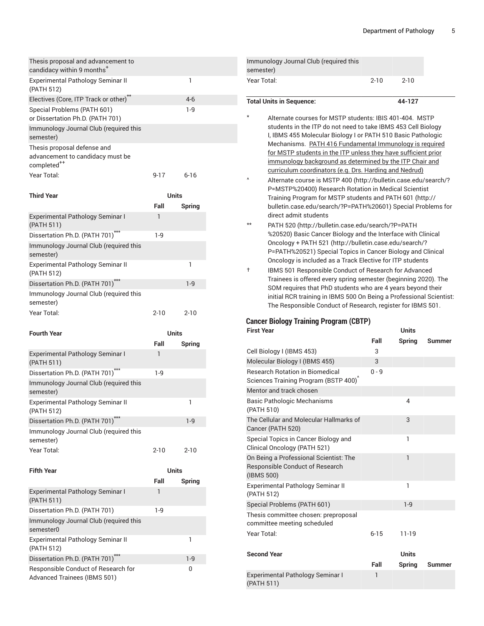| Thesis proposal and advancement to<br>candidacy within 9 months <sup>+</sup>               |           |               |  |
|--------------------------------------------------------------------------------------------|-----------|---------------|--|
| Experimental Pathology Seminar II<br>(PATH 512)                                            |           | 1             |  |
| Electives (Core, ITP Track or other)**                                                     |           | $4-6$         |  |
| Special Problems (PATH 601)<br>or Dissertation Ph.D. (PATH 701)                            |           | $1-9$         |  |
| Immunology Journal Club (required this<br>semester)                                        |           |               |  |
| Thesis proposal defense and<br>advancement to candidacy must be<br>completed <sup>++</sup> |           |               |  |
| Year Total:                                                                                | $9 - 17$  | $6 - 16$      |  |
| <b>Third Year</b>                                                                          |           | <b>Units</b>  |  |
|                                                                                            | Fall      | Spring        |  |
| Experimental Pathology Seminar I<br>(PATH 511)                                             | 1         |               |  |
| Dissertation Ph.D. (PATH 701)***                                                           | $1-9$     |               |  |
| Immunology Journal Club (required this<br>semester)                                        |           |               |  |
| Experimental Pathology Seminar II<br>(PATH 512)                                            |           | 1             |  |
| Dissertation Ph.D. (PATH 701)***                                                           |           | $1-9$         |  |
| Immunology Journal Club (required this<br>semester)                                        |           |               |  |
| Year Total:                                                                                | $2 - 10$  | $2 - 10$      |  |
|                                                                                            |           |               |  |
|                                                                                            |           |               |  |
| <b>Fourth Year</b>                                                                         |           | <b>Units</b>  |  |
| Experimental Pathology Seminar I                                                           | Fall<br>1 | Spring        |  |
| (PATH 511)                                                                                 | $1-9$     |               |  |
| Dissertation Ph.D. (PATH 701)***<br>Immunology Journal Club (required this<br>semester)    |           |               |  |
| Experimental Pathology Seminar II<br>(PATH 512)                                            |           | 1             |  |
| Dissertation Ph.D. (PATH 701)***                                                           |           | $1-9$         |  |
| Immunology Journal Club (required this                                                     |           |               |  |
| semester)                                                                                  |           |               |  |
| Year Total:                                                                                | $2 - 10$  | $2 - 10$      |  |
| Fifth Year                                                                                 |           | Units         |  |
|                                                                                            | Fall      |               |  |
| <b>Experimental Pathology Seminar I</b><br>(PATH 511)                                      | 1         | <b>Spring</b> |  |
| Dissertation Ph.D. (PATH 701)                                                              | $1-9$     |               |  |
| Immunology Journal Club (required this<br>semester0                                        |           |               |  |
| Experimental Pathology Seminar II<br>(PATH 512)                                            |           | 1             |  |
| Dissertation Ph.D. (PATH 701) <sup>**</sup>                                                |           | $1-9$         |  |

| $2 - 10$ |
|----------|
|          |
|          |

Alternate courses for MSTP students: IBIS 401-404. MSTP students in the ITP do not need to take IBMS 453 Cell Biology I, IBMS 455 Molecular Biology I or PATH 510 Basic Pathologic Mechanisms. PATH 416 Fundamental Immunology is required for MSTP students in the ITP unless they have sufficient prior immunology background as determined by the ITP Chair and curriculum coordinators (e.g. Drs. Harding and Nedrud)

- Alternate course is [MSTP 400 \(http://bulletin.case.edu/search/?](http://bulletin.case.edu/search/?P=MSTP%20400) [P=MSTP%20400\)](http://bulletin.case.edu/search/?P=MSTP%20400) Research Rotation in Medical Scientist Training Program for MSTP students and [PATH](http://bulletin.case.edu/search/?P=PATH%20601) 601 [\(http://](http://bulletin.case.edu/search/?P=PATH%20601) [bulletin.case.edu/search/?P=PATH%20601\)](http://bulletin.case.edu/search/?P=PATH%20601) Special Problems for direct admit students
- \*\* [PATH](http://bulletin.case.edu/search/?P=PATH%20520) 520 ([http://bulletin.case.edu/search/?P=PATH](http://bulletin.case.edu/search/?P=PATH%20520) [%20520](http://bulletin.case.edu/search/?P=PATH%20520)) Basic Cancer Biology and the Interface with Clinical Oncology + [PATH](http://bulletin.case.edu/search/?P=PATH%20521) 521 [\(http://bulletin.case.edu/search/?](http://bulletin.case.edu/search/?P=PATH%20521) [P=PATH%20521\)](http://bulletin.case.edu/search/?P=PATH%20521) Special Topics in Cancer Biology and Clinical Oncology is included as a Track Elective for ITP students
- † IBMS 501 Responsible Conduct of Research for Advanced Trainees is offered every spring semester (beginning 2020). The SOM requires that PhD students who are 4 years beyond their initial RCR training in IBMS 500 On Being a Professional Scientist: The Responsible Conduct of Research, register for IBMS 501.

# **Cancer Biology Training Program (CBTP)**

| <b>First Year</b>                                                                       |          | Units         |               |
|-----------------------------------------------------------------------------------------|----------|---------------|---------------|
|                                                                                         | Fall     | <b>Spring</b> | <b>Summer</b> |
| Cell Biology I (IBMS 453)                                                               | 3        |               |               |
| Molecular Biology I (IBMS 455)                                                          | 3        |               |               |
| <b>Research Rotation in Biomedical</b><br>Sciences Training Program (BSTP 400)          | $0 - 9$  |               |               |
| Mentor and track chosen                                                                 |          |               |               |
| <b>Basic Pathologic Mechanisms</b><br>(PATH 510)                                        |          | 4             |               |
| The Cellular and Molecular Hallmarks of<br>Cancer (PATH 520)                            |          | 3             |               |
| Special Topics in Cancer Biology and<br>Clinical Oncology (PATH 521)                    |          | 1             |               |
| On Being a Professional Scientist: The<br>Responsible Conduct of Research<br>(IBMS 500) |          | 1             |               |
| Experimental Pathology Seminar II<br>(PATH 512)                                         |          | 1             |               |
| Special Problems (PATH 601)                                                             |          | $1 - 9$       |               |
| Thesis committee chosen: preproposal<br>committee meeting scheduled                     |          |               |               |
| Year Total:                                                                             | $6 - 15$ | 11-19         |               |
| <b>Second Year</b>                                                                      |          | <b>Units</b>  |               |
|                                                                                         | Fall     | <b>Spring</b> | Summer        |
| Experimental Pathology Seminar I<br>(PATH 511)                                          | 1        |               |               |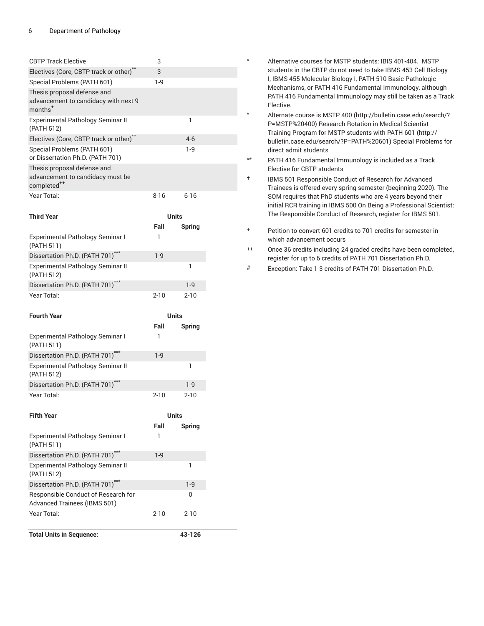| <b>CBTP Track Elective</b>                                                                 | 3            |              |  |
|--------------------------------------------------------------------------------------------|--------------|--------------|--|
| Electives (Core, CBTP track or other)**                                                    | 3            |              |  |
| Special Problems (PATH 601)                                                                | $1-9$        |              |  |
| Thesis proposal defense and                                                                |              |              |  |
| advancement to candidacy with next 9<br>$months+$                                          |              |              |  |
| Experimental Pathology Seminar II<br>(PATH 512)                                            |              | 1            |  |
| Electives (Core, CBTP track or other)**                                                    |              | $4-6$        |  |
| Special Problems (PATH 601)<br>or Dissertation Ph.D. (PATH 701)                            |              | $1-9$        |  |
| Thesis proposal defense and<br>advancement to candidacy must be<br>completed <sup>++</sup> |              |              |  |
| Year Total:                                                                                | $8 - 16$     | $6 - 16$     |  |
| <b>Third Year</b>                                                                          | <b>Units</b> |              |  |
| Experimental Pathology Seminar I<br>(PATH 511)                                             | Fall<br>1    | Spring       |  |
| Dissertation Ph.D. (PATH 701)***                                                           | $1-9$        |              |  |
| Experimental Pathology Seminar II<br>(PATH 512)                                            |              | 1            |  |
| Dissertation Ph.D. (PATH 701)***                                                           |              | $1-9$        |  |
| Year Total:                                                                                | $2 - 10$     | $2 - 10$     |  |
| <b>Fourth Year</b>                                                                         | <b>Units</b> |              |  |
|                                                                                            | Fall         | Spring       |  |
| Experimental Pathology Seminar I<br>(PATH 511)                                             | 1            |              |  |
| Dissertation Ph.D. (PATH 701)***                                                           | $1-9$        |              |  |
| Experimental Pathology Seminar II<br>(PATH 512)                                            |              | 1            |  |
| Dissertation Ph.D. (PATH 701)***                                                           |              | $1 - 9$      |  |
| Year Total:                                                                                |              |              |  |
|                                                                                            | 2-10         | $2 - 10$     |  |
| <b>Fifth Year</b>                                                                          |              | <b>Units</b> |  |
|                                                                                            | Fall         | Spring       |  |
| Experimental Pathology Seminar I<br>(PATH 511)                                             | 1            |              |  |
| Dissertation Ph.D. (PATH 701)***                                                           | $1-9$        |              |  |
| Experimental Pathology Seminar II<br>(PATH 512)                                            |              | 1            |  |
| Dissertation Ph.D. (PATH 701)***                                                           |              | $1-9$        |  |
| Responsible Conduct of Research for<br><b>Advanced Trainees (IBMS 501)</b>                 |              | 0            |  |
| Year Total:                                                                                | 2-10         | $2 - 10$     |  |
| <b>Total Units in Sequence:</b>                                                            |              | 43-126       |  |

- \* Alternative courses for MSTP students: IBIS 401-404. MSTP students in the CBTP do not need to take IBMS 453 Cell Biology I, IBMS 455 Molecular Biology I, PATH 510 Basic Pathologic Mechanisms, or PATH 416 Fundamental Immunology, although PATH 416 Fundamental Immunology may still be taken as a Track Elective.
	- Alternate course is [MSTP 400 \(http://bulletin.case.edu/search/?](http://bulletin.case.edu/search/?P=MSTP%20400) [P=MSTP%20400\)](http://bulletin.case.edu/search/?P=MSTP%20400) Research Rotation in Medical Scientist Training Program for MSTP students with [PATH](http://bulletin.case.edu/search/?P=PATH%20601) 601 [\(http://](http://bulletin.case.edu/search/?P=PATH%20601) [bulletin.case.edu/search/?P=PATH%20601\)](http://bulletin.case.edu/search/?P=PATH%20601) Special Problems for direct admit students
- \*\* PATH 416 Fundamental Immunology is included as a Track Elective for CBTP students
- † IBMS 501 Responsible Conduct of Research for Advanced Trainees is offered every spring semester (beginning 2020). The SOM requires that PhD students who are 4 years beyond their initial RCR training in IBMS 500 On Being a Professional Scientist: The Responsible Conduct of Research, register for IBMS 501.
- + Petition to convert 601 credits to 701 credits for semester in which advancement occurs
- ++ Once 36 credits including 24 graded credits have been completed, register for up to 6 credits of PATH 701 Dissertation Ph.D.
- # Exception: Take 1-3 credits of PATH 701 Dissertation Ph.D.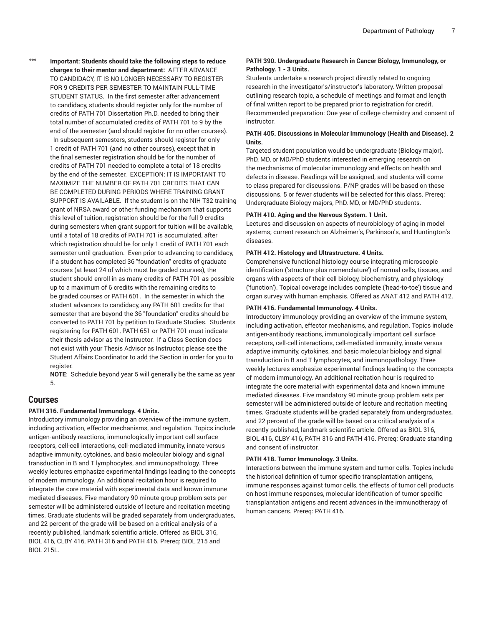\*\*\* **Important: Students should take the following steps to reduce charges to their mentor and department:** AFTER ADVANCE TO CANDIDACY, IT IS NO LONGER NECESSARY TO REGISTER FOR 9 CREDITS PER SEMESTER TO MAINTAIN FULL-TIME STUDENT STATUS. In the first semester after advancement to candidacy, students should register only for the number of credits of PATH 701 Dissertation Ph.D. needed to bring their total number of accumulated credits of PATH 701 to 9 by the end of the semester (and should register for no other courses). In subsequent semesters, students should register for only 1 credit of PATH 701 (and no other courses), except that in the final semester registration should be for the number of credits of PATH 701 needed to complete a total of 18 credits by the end of the semester. EXCEPTION: IT IS IMPORTANT TO MAXIMIZE THE NUMBER OF PATH 701 CREDITS THAT CAN BE COMPLETED DURING PERIODS WHERE TRAINING GRANT SUPPORT IS AVAILABLE. If the student is on the NIH T32 training grant of NRSA award or other funding mechanism that supports this level of tuition, registration should be for the full 9 credits during semesters when grant support for tuition will be available, until a total of 18 credits of PATH 701 is accumulated, after which registration should be for only 1 credit of PATH 701 each semester until graduation. Even prior to advancing to candidacy, if a student has completed 36 "foundation" credits of graduate courses (at least 24 of which must be graded courses), the student should enroll in as many credits of PATH 701 as possible up to a maximum of 6 credits with the remaining credits to be graded courses or PATH 601. In the semester in which the student advances to candidacy, any PATH 601 credits for that semester that are beyond the 36 "foundation" credits should be converted to PATH 701 by petition to Graduate Studies. Students registering for PATH 601, PATH 651 or PATH 701 must indicate their thesis advisor as the Instructor. If a Class Section does not exist with your Thesis Advisor as Instructor, please see the Student Affairs Coordinator to add the Section in order for you to register.

**NOTE**: Schedule beyond year 5 will generally be the same as year 5.

# **Courses**

#### **PATH 316. Fundamental Immunology. 4 Units.**

Introductory immunology providing an overview of the immune system, including activation, effector mechanisms, and regulation. Topics include antigen-antibody reactions, immunologically important cell surface receptors, cell-cell interactions, cell-mediated immunity, innate versus adaptive immunity, cytokines, and basic molecular biology and signal transduction in B and T lymphocytes, and immunopathology. Three weekly lectures emphasize experimental findings leading to the concepts of modern immunology. An additional recitation hour is required to integrate the core material with experimental data and known immune mediated diseases. Five mandatory 90 minute group problem sets per semester will be administered outside of lecture and recitation meeting times. Graduate students will be graded separately from undergraduates, and 22 percent of the grade will be based on a critical analysis of a recently published, landmark scientific article. Offered as [BIOL 316,](/search/?P=BIOL%20316) [BIOL 416,](/search/?P=BIOL%20416) [CLBY](/search/?P=CLBY%20416) 416, [PATH](/search/?P=PATH%20316) 316 and [PATH](/search/?P=PATH%20416) 416. Prereq: [BIOL 215](/search/?P=BIOL%20215) and [BIOL 215L.](/search/?P=BIOL%20215L)

# **PATH 390. Undergraduate Research in Cancer Biology, Immunology, or Pathology. 1 - 3 Units.**

Students undertake a research project directly related to ongoing research in the investigator's/instructor's laboratory. Written proposal outlining research topic, a schedule of meetings and format and length of final written report to be prepared prior to registration for credit. Recommended preparation: One year of college chemistry and consent of instructor.

# **PATH 405. Discussions in Molecular Immunology (Health and Disease). 2 Units.**

Targeted student population would be undergraduate (Biology major), PhD, MD, or MD/PhD students interested in emerging research on the mechanisms of molecular immunology and effects on health and defects in disease. Readings will be assigned, and students will come to class prepared for discussions. P/NP grades will be based on these discussions. 5 or fewer students will be selected for this class. Prereq: Undergraduate Biology majors, PhD, MD, or MD/PhD students.

#### **PATH 410. Aging and the Nervous System. 1 Unit.**

Lectures and discussion on aspects of neurobiology of aging in model systems; current research on Alzheimer's, Parkinson's, and Huntington's diseases.

#### **PATH 412. Histology and Ultrastructure. 4 Units.**

Comprehensive functional histology course integrating microscopic identification ('structure plus nomenclature') of normal cells, tissues, and organs with aspects of their cell biology, biochemistry, and physiology ('function'). Topical coverage includes complete ('head-to-toe') tissue and organ survey with human emphasis. Offered as [ANAT](/search/?P=ANAT%20412) 412 and [PATH](/search/?P=PATH%20412) 412.

#### **PATH 416. Fundamental Immunology. 4 Units.**

Introductory immunology providing an overview of the immune system, including activation, effector mechanisms, and regulation. Topics include antigen-antibody reactions, immunologically important cell surface receptors, cell-cell interactions, cell-mediated immunity, innate versus adaptive immunity, cytokines, and basic molecular biology and signal transduction in B and T lymphocytes, and immunopathology. Three weekly lectures emphasize experimental findings leading to the concepts of modern immunology. An additional recitation hour is required to integrate the core material with experimental data and known immune mediated diseases. Five mandatory 90 minute group problem sets per semester will be administered outside of lecture and recitation meeting times. Graduate students will be graded separately from undergraduates, and 22 percent of the grade will be based on a critical analysis of a recently published, landmark scientific article. Offered as [BIOL 316](/search/?P=BIOL%20316), [BIOL 416](/search/?P=BIOL%20416), [CLBY](/search/?P=CLBY%20416) 416, [PATH](/search/?P=PATH%20316) 316 and [PATH](/search/?P=PATH%20416) 416. Prereq: Graduate standing and consent of instructor.

#### **PATH 418. Tumor Immunology. 3 Units.**

Interactions between the immune system and tumor cells. Topics include the historical definition of tumor specific transplantation antigens, immune responses against tumor cells, the effects of tumor cell products on host immune responses, molecular identification of tumor specific transplantation antigens and recent advances in the immunotherapy of human cancers. Prereq: [PATH](/search/?P=PATH%20416) 416.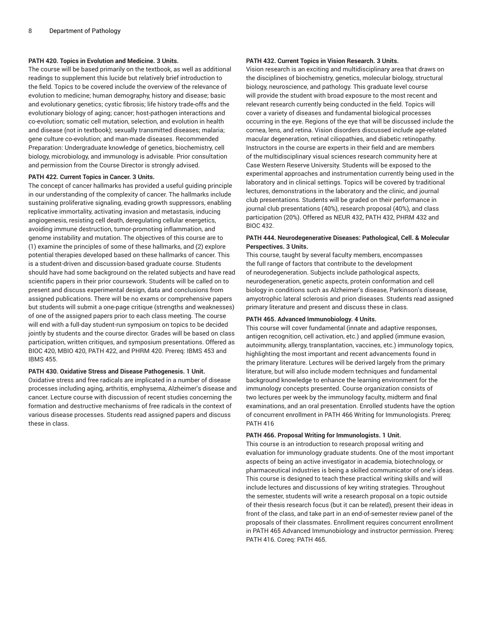### **PATH 420. Topics in Evolution and Medicine. 3 Units.**

The course will be based primarily on the textbook, as well as additional readings to supplement this lucide but relatively brief introduction to the field. Topics to be covered include the overview of the relevance of evolution to medicine; human demography, history and disease; basic and evolutionary genetics; cystic fibrosis; life history trade-offs and the evolutionary biology of aging; cancer; host-pathogen interactions and co-evolution; somatic cell mutation, selection, and evolution in health and disease (not in textbook); sexually transmitted diseases; malaria; gene culture co-evolution; and man-made diseases. Recommended Preparation: Undergraduate knowledge of genetics, biochemistry, cell biology, microbiology, and immunology is advisable. Prior consultation and permission from the Course Director is strongly advised.

#### **PATH 422. Current Topics in Cancer. 3 Units.**

The concept of cancer hallmarks has provided a useful guiding principle in our understanding of the complexity of cancer. The hallmarks include sustaining proliferative signaling, evading growth suppressors, enabling replicative immortality, activating invasion and metastasis, inducing angiogenesis, resisting cell death, deregulating cellular energetics, avoiding immune destruction, tumor-promoting inflammation, and genome instability and mutation. The objectives of this course are to (1) examine the principles of some of these hallmarks, and (2) explore potential therapies developed based on these hallmarks of cancer. This is a student-driven and discussion-based graduate course. Students should have had some background on the related subjects and have read scientific papers in their prior coursework. Students will be called on to present and discuss experimental design, data and conclusions from assigned publications. There will be no exams or comprehensive papers but students will submit a one-page critique (strengths and weaknesses) of one of the assigned papers prior to each class meeting. The course will end with a full-day student-run symposium on topics to be decided jointly by students and the course director. Grades will be based on class participation, written critiques, and symposium presentations. Offered as [BIOC 420](/search/?P=BIOC%20420), [MBIO 420](/search/?P=MBIO%20420), [PATH](/search/?P=PATH%20422) 422, and [PHRM 420.](/search/?P=PHRM%20420) Prereq: [IBMS 453](/search/?P=IBMS%20453) and [IBMS 455.](/search/?P=IBMS%20455)

#### **PATH 430. Oxidative Stress and Disease Pathogenesis. 1 Unit.**

Oxidative stress and free radicals are implicated in a number of disease processes including aging, arthritis, emphysema, Alzheimer's disease and cancer. Lecture course with discussion of recent studies concerning the formation and destructive mechanisms of free radicals in the context of various disease processes. Students read assigned papers and discuss these in class.

#### **PATH 432. Current Topics in Vision Research. 3 Units.**

Vision research is an exciting and multidisciplinary area that draws on the disciplines of biochemistry, genetics, molecular biology, structural biology, neuroscience, and pathology. This graduate level course will provide the student with broad exposure to the most recent and relevant research currently being conducted in the field. Topics will cover a variety of diseases and fundamental biological processes occurring in the eye. Regions of the eye that will be discussed include the cornea, lens, and retina. Vision disorders discussed include age-related macular degeneration, retinal ciliopathies, and diabetic retinopathy. Instructors in the course are experts in their field and are members of the multidisciplinary visual sciences research community here at Case Western Reserve University. Students will be exposed to the experimental approaches and instrumentation currently being used in the laboratory and in clinical settings. Topics will be covered by traditional lectures, demonstrations in the laboratory and the clinic, and journal club presentations. Students will be graded on their performance in journal club presentations (40%), research proposal (40%), and class participation (20%). Offered as [NEUR 432,](/search/?P=NEUR%20432) [PATH](/search/?P=PATH%20432) 432, [PHRM 432](/search/?P=PHRM%20432) and [BIOC 432.](/search/?P=BIOC%20432)

### **PATH 444. Neurodegenerative Diseases: Pathological, Cell. & Molecular Perspectives. 3 Units.**

This course, taught by several faculty members, encompasses the full range of factors that contribute to the development of neurodegeneration. Subjects include pathological aspects, neurodegeneration, genetic aspects, protein conformation and cell biology in conditions such as Alzheimer's disease, Parkinson's disease, amyotrophic lateral sclerosis and prion diseases. Students read assigned primary literature and present and discuss these in class.

#### **PATH 465. Advanced Immunobiology. 4 Units.**

This course will cover fundamental (innate and adaptive responses, antigen recognition, cell activation, etc.) and applied (immune evasion, autoimmunity, allergy, transplantation, vaccines, etc.) immunology topics, highlighting the most important and recent advancements found in the primary literature. Lectures will be derived largely from the primary literature, but will also include modern techniques and fundamental background knowledge to enhance the learning environment for the immunology concepts presented. Course organization consists of two lectures per week by the immunology faculty, midterm and final examinations, and an oral presentation. Enrolled students have the option of concurrent enrollment in [PATH](/search/?P=PATH%20466) 466 Writing for Immunologists. Prereq: [PATH](/search/?P=PATH%20416) 416

#### **PATH 466. Proposal Writing for Immunologists. 1 Unit.**

This course is an introduction to research proposal writing and evaluation for immunology graduate students. One of the most important aspects of being an active investigator in academia, biotechnology, or pharmaceutical industries is being a skilled communicator of one's ideas. This course is designed to teach these practical writing skills and will include lectures and discussions of key writing strategies. Throughout the semester, students will write a research proposal on a topic outside of their thesis research focus (but it can be related), present their ideas in front of the class, and take part in an end-of-semester review panel of the proposals of their classmates. Enrollment requires concurrent enrollment in [PATH](/search/?P=PATH%20465) 465 Advanced Immunobiology and instructor permission. Prereq: [PATH](/search/?P=PATH%20416) 416. Coreq: [PATH](/search/?P=PATH%20465) 465.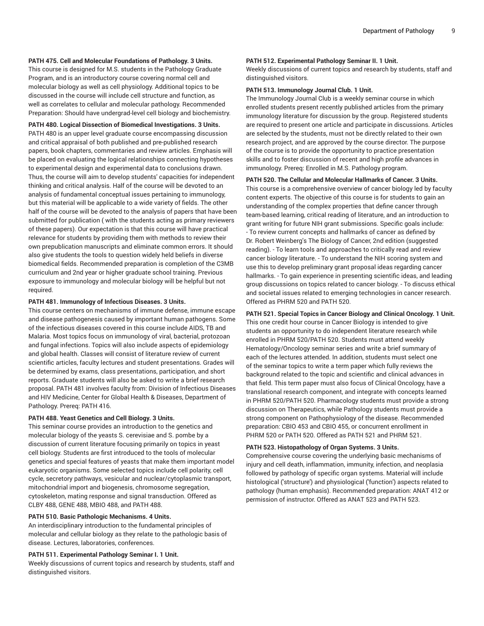#### **PATH 475. Cell and Molecular Foundations of Pathology. 3 Units.**

This course is designed for M.S. students in the Pathology Graduate Program, and is an introductory course covering normal cell and molecular biology as well as cell physiology. Additional topics to be discussed in the course will include cell structure and function, as well as correlates to cellular and molecular pathology. Recommended Preparation: Should have undergrad-level cell biology and biochemistry.

#### **PATH 480. Logical Dissection of Biomedical Investigations. 3 Units.**

[PATH](/search/?P=PATH%20480) 480 is an upper level graduate course encompassing discussion and critical appraisal of both published and pre-published research papers, book chapters, commentaries and review articles. Emphasis will be placed on evaluating the logical relationships connecting hypotheses to experimental design and experimental data to conclusions drawn. Thus, the course will aim to develop students' capacities for independent thinking and critical analysis. Half of the course will be devoted to an analysis of fundamental conceptual issues pertaining to immunology, but this material will be applicable to a wide variety of fields. The other half of the course will be devoted to the analysis of papers that have been submitted for publication ( with the students acting as primary reviewers of these papers). Our expectation is that this course will have practical relevance for students by providing them with methods to review their own prepublication manuscripts and eliminate common errors. It should also give students the tools to question widely held beliefs in diverse biomedical fields. Recommended preparation is completion of the C3MB curriculum and 2nd year or higher graduate school training. Previous exposure to immunology and molecular biology will be helpful but not required.

#### **PATH 481. Immunology of Infectious Diseases. 3 Units.**

This course centers on mechanisms of immune defense, immune escape and disease pathogenesis caused by important human pathogens. Some of the infectious diseases covered in this course include AIDS, TB and Malaria. Most topics focus on immunology of viral, bacterial, protozoan and fungal infections. Topics will also include aspects of epidemiology and global health. Classes will consist of literature review of current scientific articles, faculty lectures and student presentations. Grades will be determined by exams, class presentations, participation, and short reports. Graduate students will also be asked to write a brief research proposal. [PATH](/search/?P=PATH%20481) 481 involves faculty from: Division of Infectious Diseases and HIV Medicine, Center for Global Health & Diseases, Department of Pathology. Prereq: [PATH](/search/?P=PATH%20416) 416.

#### **PATH 488. Yeast Genetics and Cell Biology. 3 Units.**

This seminar course provides an introduction to the genetics and molecular biology of the yeasts S. cerevisiae and S. pombe by a discussion of current literature focusing primarily on topics in yeast cell biology. Students are first introduced to the tools of molecular genetics and special features of yeasts that make them important model eukaryotic organisms. Some selected topics include cell polarity, cell cycle, secretory pathways, vesicular and nuclear/cytoplasmic transport, mitochondrial import and biogenesis, chromosome segregation, cytoskeleton, mating response and signal transduction. Offered as [CLBY](/search/?P=CLBY%20488) 488, [GENE 488](/search/?P=GENE%20488), [MBIO 488](/search/?P=MBIO%20488), and [PATH](/search/?P=PATH%20488) 488.

#### **PATH 510. Basic Pathologic Mechanisms. 4 Units.**

An interdisciplinary introduction to the fundamental principles of molecular and cellular biology as they relate to the pathologic basis of disease. Lectures, laboratories, conferences.

#### **PATH 511. Experimental Pathology Seminar I. 1 Unit.**

Weekly discussions of current topics and research by students, staff and distinguished visitors.

#### **PATH 512. Experimental Pathology Seminar II. 1 Unit.**

Weekly discussions of current topics and research by students, staff and distinguished visitors.

#### **PATH 513. Immunology Journal Club. 1 Unit.**

The Immunology Journal Club is a weekly seminar course in which enrolled students present recently published articles from the primary immunology literature for discussion by the group. Registered students are required to present one article and participate in discussions. Articles are selected by the students, must not be directly related to their own research project, and are approved by the course director. The purpose of the course is to provide the opportunity to practice presentation skills and to foster discussion of recent and high profile advances in immunology. Prereq: Enrolled in M.S. Pathology program.

# **PATH 520. The Cellular and Molecular Hallmarks of Cancer. 3 Units.**

This course is a comprehensive overview of cancer biology led by faculty content experts. The objective of this course is for students to gain an understanding of the complex properties that define cancer through team-based learning, critical reading of literature, and an introduction to grant writing for future NIH grant submissions. Specific goals include: - To review current concepts and hallmarks of cancer as defined by Dr. Robert Weinberg's The Biology of Cancer, 2nd edition (suggested reading). - To learn tools and approaches to critically read and review cancer biology literature. - To understand the NIH scoring system and use this to develop preliminary grant proposal ideas regarding cancer hallmarks. - To gain experience in presenting scientific ideas, and leading group discussions on topics related to cancer biology. - To discuss ethical and societal issues related to emerging technologies in cancer research. Offered as [PHRM 520](/search/?P=PHRM%20520) and [PATH](/search/?P=PATH%20520) 520.

# **PATH 521. Special Topics in Cancer Biology and Clinical Oncology. 1 Unit.**

This one credit hour course in Cancer Biology is intended to give students an opportunity to do independent literature research while enrolled in [PHRM 520](/search/?P=PHRM%20520)/[PATH](/search/?P=PATH%20520) 520. Students must attend weekly Hematology/Oncology seminar series and write a brief summary of each of the lectures attended. In addition, students must select one of the seminar topics to write a term paper which fully reviews the background related to the topic and scientific and clinical advances in that field. This term paper must also focus of Clinical Oncology, have a translational research component, and integrate with concepts learned in [PHRM 520/](/search/?P=PHRM%20520)[PATH](/search/?P=PATH%20520) 520. Pharmacology students must provide a strong discussion on Therapeutics, while Pathology students must provide a strong component on Pathophysiology of the disease. Recommended preparation: CBIO 453 and CBIO 455, or concurrent enrollment in [PHRM 520](/search/?P=PHRM%20520) or [PATH](/search/?P=PATH%20520) 520. Offered as [PATH](/search/?P=PATH%20521) 521 and [PHRM 521](/search/?P=PHRM%20521).

#### **PATH 523. Histopathology of Organ Systems. 3 Units.**

Comprehensive course covering the underlying basic mechanisms of injury and cell death, inflammation, immunity, infection, and neoplasia followed by pathology of specific organ systems. Material will include histological ('structure') and physiological ('function') aspects related to pathology (human emphasis). Recommended preparation: [ANAT](/search/?P=ANAT%20412) 412 or permission of instructor. Offered as [ANAT](/search/?P=ANAT%20523) 523 and [PATH](/search/?P=PATH%20523) 523.